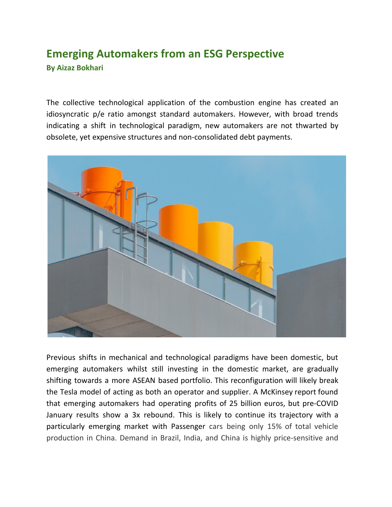## **Emerging Automakers from an ESG Perspective By Aizaz Bokhari**

The collective technological application of the combustion engine has created an idiosyncratic p/e ratio amongst standard automakers. However, with broad trends indicating a shift in technological paradigm, new automakers are not thwarted by obsolete, yet expensive structures and non-consolidated debt payments.



Previous shifts in mechanical and technological paradigms have been domestic, but emerging automakers whilst still investing in the domestic market, are gradually shifting towards a more ASEAN based portfolio. This reconfiguration will likely break the Tesla model of acting as both an operator and supplier. A McKinsey report found that emerging automakers had operating profits of 25 billion euros, but pre-COVID January results show a 3x rebound. This is likely to continue its trajectory with a particularly emerging market with Passenger cars being only 15% of total vehicle production in China. Demand in Brazil, India, and China is highly price-sensitive and